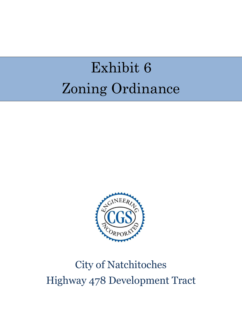## Exhibit 6 Zoning Ordinance



## City of Natchitoches Highway 478 Development Tract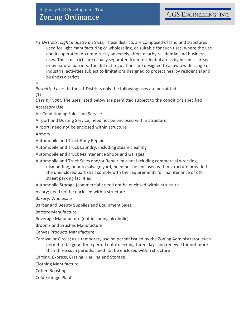*I-1 Districts: Light industry districts.* These districts are composed of land and structures used for light manufacturing or wholesaling, or suitable for such uses, where the use and its operation do not directly adversely affect nearby residential and business uses. These districts are usually separated from residential areas by business areas or by natural barriers. The district regulations are designed to allow a wide range of industrial activities subject to limitations designed to protect nearby residential and business districts.

a.

*Permitted uses.* In the I-1 Districts only the following uses are permitted:

(1)

*Uses by right.* The uses listed below are permitted subject to the conditions specified:

Accessory Use

Air Conditioning Sales and Service

Airport and Dusting Service; need not be enclosed within structure

Airport; need not be enclosed within structure

Armory

Automobile and Truck Body Repair

Automobile and Truck Laundry, including steam cleaning

Automobile and Truck Maintenance Shops and Garages

Automobile and Truck Sales and/or Repair, but not including commercial wrecking, dismantling, or auto salvage yard; need not be enclosed within structure provided the unenclosed part shall comply with the requirements for maintenance of offstreet parking facilities

Automobile Storage (commercial); need not be enclosed within structure

Aviary; need not be enclosed within structure

Bakery, Wholesale

Barber and Beauty Supplies and Equipment Sales

Battery Manufacture

Beverage Manufacture (not including alcoholic)

Brooms and Brushes Manufacture

Canvas Products Manufacture

Carnival or Circus; as a temporary use on permit issued by the Zoning Administrator, such permit to be good for a period not exceeding three days and renewal for not more than three such periods; need not be enclosed within structure

Carting, Express, Crating, Hauling and Storage

Clothing Manufacture

Coffee Roasting

Cold Storage Plant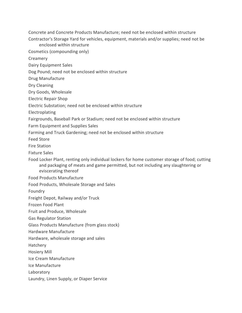Concrete and Concrete Products Manufacture; need not be enclosed within structure

Contractor's Storage Yard for vehicles, equipment, materials and/or supplies; need not be enclosed within structure

Cosmetics (compounding only)

Creamery

Dairy Equipment Sales

Dog Pound; need not be enclosed within structure

Drug Manufacture

Dry Cleaning

Dry Goods, Wholesale

Electric Repair Shop

Electric Substation; need not be enclosed within structure

Electroplating

Fairgrounds, Baseball Park or Stadium; need not be enclosed within structure

Farm Equipment and Supplies Sales

Farming and Truck Gardening; need not be enclosed within structure

Feed Store

Fire Station

Fixture Sales

Food Locker Plant, renting only individual lockers for home customer storage of food; cutting and packaging of meats and game permitted, but not including any slaughtering or eviscerating thereof

Food Products Manufacture

Food Products, Wholesale Storage and Sales

Foundry

Freight Depot, Railway and/or Truck

Frozen Food Plant

Fruit and Produce, Wholesale

Gas Regulator Station

Glass Products Manufacture (from glass stock)

Hardware Manufacture

Hardware, wholesale storage and sales

Hatchery

Hosiery Mill

Ice Cream Manufacture

Ice Manufacture

Laboratory

Laundry, Linen Supply, or Diaper Service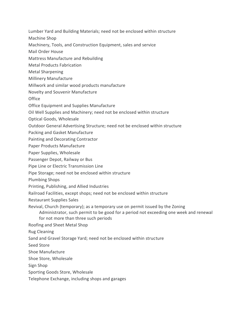Lumber Yard and Building Materials; need not be enclosed within structure

Machine Shop

Machinery, Tools, and Construction Equipment, sales and service

Mail Order House

Mattress Manufacture and Rebuilding

Metal Products Fabrication

Metal Sharpening

Millinery Manufacture

Millwork and similar wood products manufacture

Novelty and Souvenir Manufacture

**Office** 

Office Equipment and Supplies Manufacture

Oil Well Supplies and Machinery; need not be enclosed within structure

Optical Goods, Wholesale

Outdoor General Advertising Structure; need not be enclosed within structure

Packing and Gasket Manufacture

Painting and Decorating Contractor

Paper Products Manufacture

Paper Supplies, Wholesale

Passenger Depot, Railway or Bus

Pipe Line or Electric Transmission Line

Pipe Storage; need not be enclosed within structure

Plumbing Shops

Printing, Publishing, and Allied Industries

Railroad Facilities, except shops; need not be enclosed within structure

Restaurant Supplies Sales

Revival, Church (temporary); as a temporary use on permit issued by the Zoning Administrator, such permit to be good for a period not exceeding one week and renewal for not more than three such periods

Roofing and Sheet Metal Shop

Rug Cleaning

Sand and Gravel Storage Yard; need not be enclosed within structure

Seed Store

Shoe Manufacture

Shoe Store, Wholesale

Sign Shop

Sporting Goods Store, Wholesale

Telephone Exchange, including shops and garages